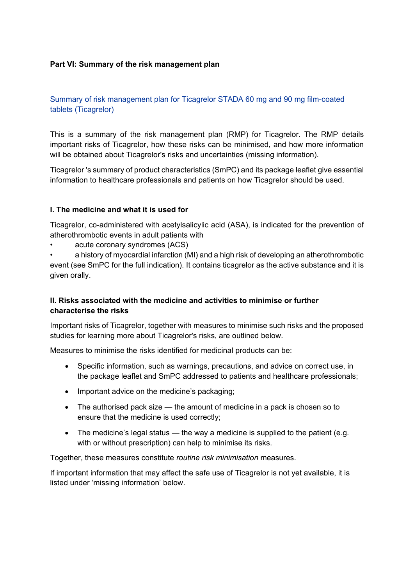### **Part VI: Summary of the risk management plan**

Summary of risk management plan for Ticagrelor STADA 60 mg and 90 mg film-coated tablets (Ticagrelor)

This is a summary of the risk management plan (RMP) for Ticagrelor. The RMP details important risks of Ticagrelor, how these risks can be minimised, and how more information will be obtained about Ticagrelor's risks and uncertainties (missing information).

Ticagrelor 's summary of product characteristics (SmPC) and its package leaflet give essential information to healthcare professionals and patients on how Ticagrelor should be used.

#### **I. The medicine and what it is used for**

Ticagrelor, co-administered with acetylsalicylic acid (ASA), is indicated for the prevention of atherothrombotic events in adult patients with

acute coronary syndromes (ACS)

• a history of myocardial infarction (MI) and a high risk of developing an atherothrombotic event (see SmPC for the full indication). It contains ticagrelor as the active substance and it is given orally.

# **II. Risks associated with the medicine and activities to minimise or further characterise the risks**

Important risks of Ticagrelor, together with measures to minimise such risks and the proposed studies for learning more about Ticagrelor's risks, are outlined below.

Measures to minimise the risks identified for medicinal products can be:

- Specific information, such as warnings, precautions, and advice on correct use, in the package leaflet and SmPC addressed to patients and healthcare professionals;
- Important advice on the medicine's packaging;
- The authorised pack size the amount of medicine in a pack is chosen so to ensure that the medicine is used correctly;
- The medicine's legal status the way a medicine is supplied to the patient (e.g. with or without prescription) can help to minimise its risks.

Together, these measures constitute *routine risk minimisation* measures.

If important information that may affect the safe use of Ticagrelor is not yet available, it is listed under 'missing information' below.